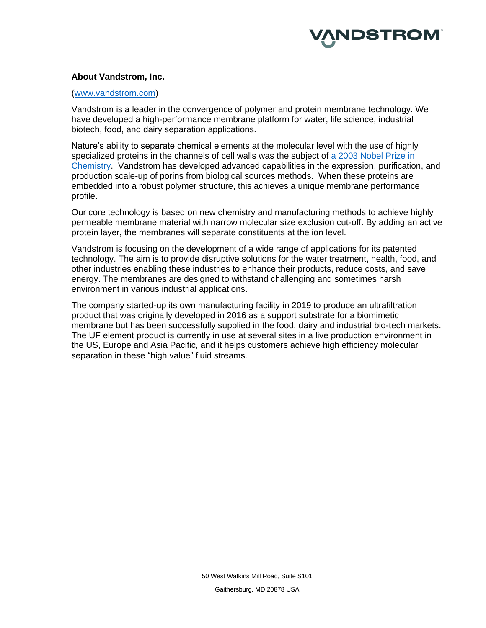

#### **About Vandstrom, Inc.**

#### [\(www.vandstrom.com\)](http://www.vandstrom.com/)

Vandstrom is a leader in the convergence of polymer and protein membrane technology. We have developed a high-performance membrane platform for water, life science, industrial biotech, food, and dairy separation applications.

Nature's ability to separate chemical elements at the molecular level with the use of highly specialized proteins in the channels of cell walls was the subject of [a 2003 Nobel Prize in](https://www.nobelprize.org/nobel_prizes/chemistry/laureates/2003/popular.html)  [Chemistry.](https://www.nobelprize.org/nobel_prizes/chemistry/laureates/2003/popular.html) Vandstrom has developed advanced capabilities in the expression, purification, and production scale-up of porins from biological sources methods. When these proteins are embedded into a robust polymer structure, this achieves a unique membrane performance profile.

Our core technology is based on new chemistry and manufacturing methods to achieve highly permeable membrane material with narrow molecular size exclusion cut-off. By adding an active protein layer, the membranes will separate constituents at the ion level.

Vandstrom is focusing on the development of a wide range of applications for its patented technology. The aim is to provide disruptive solutions for the water treatment, health, food, and other industries enabling these industries to enhance their products, reduce costs, and save energy. The membranes are designed to withstand challenging and sometimes harsh environment in various industrial applications.

The company started-up its own manufacturing facility in 2019 to produce an ultrafiltration product that was originally developed in 2016 as a support substrate for a biomimetic membrane but has been successfully supplied in the food, dairy and industrial bio-tech markets. The UF element product is currently in use at several sites in a live production environment in the US, Europe and Asia Pacific, and it helps customers achieve high efficiency molecular separation in these "high value" fluid streams.